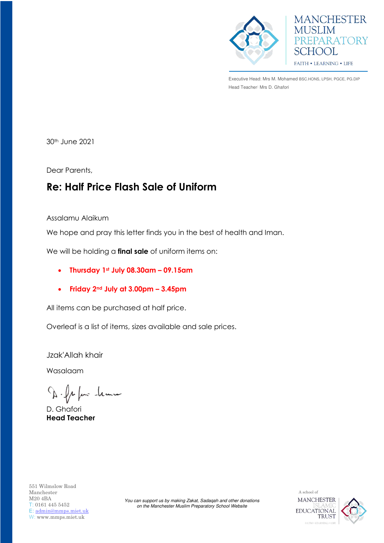



Executive Head: Mrs M. Mohamed BSC.HONS, LPSH, PGCE, PG.DIP Head Teacher: Mrs D. Ghafori

30th June 2021

Dear Parents,

## **Re: Half Price Flash Sale of Uniform**

Assalamu Alaikum

We hope and pray this letter finds you in the best of health and Iman.

We will be holding a **final sale** of uniform items on:

- **Thursday 1st July 08.30am – 09.15am**
- **Friday 2nd July at 3.00pm – 3.45pm**

All items can be purchased at half price.

Overleaf is a list of items, sizes available and sale prices.

Jzak'Allah khair

Wasalaam

D. fr fair -leann

D. Ghafori **Head Teacher**

551 Wilmslow Road Manchester M20 4BA T: 0161 445 5452 E: [admin@mmps.miet.uk](mailto:admin@mmps.miet.uk) W: www.mmps.miet.uk

*You can support us by making Zakat, Sadaqah and other donations on the Manchester Muslim Preparatory School Website*